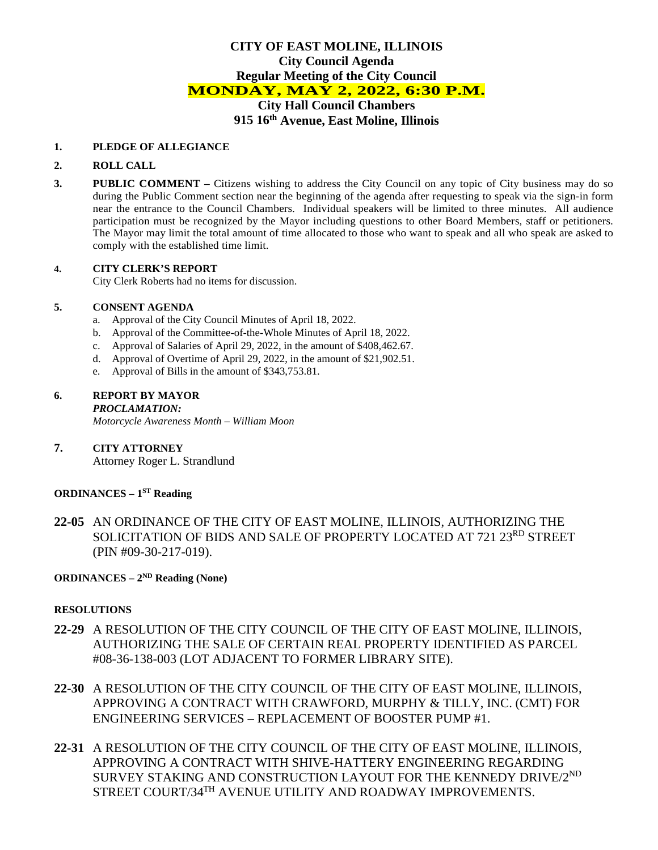## **CITY OF EAST MOLINE, ILLINOIS City Council Agenda Regular Meeting of the City Council MONDAY, MAY 2, 2022, 6:30 P.M. City Hall Council Chambers 915 16th Avenue, East Moline, Illinois**

#### **1. PLEDGE OF ALLEGIANCE**

### **2. ROLL CALL**

**3. PUBLIC COMMENT –** Citizens wishing to address the City Council on any topic of City business may do so during the Public Comment section near the beginning of the agenda after requesting to speak via the sign-in form near the entrance to the Council Chambers. Individual speakers will be limited to three minutes. All audience participation must be recognized by the Mayor including questions to other Board Members, staff or petitioners. The Mayor may limit the total amount of time allocated to those who want to speak and all who speak are asked to comply with the established time limit.

### **4. CITY CLERK'S REPORT**

City Clerk Roberts had no items for discussion.

### **5. CONSENT AGENDA**

- a. Approval of the City Council Minutes of April 18, 2022.
- b. Approval of the Committee-of-the-Whole Minutes of April 18, 2022.
- c. Approval of Salaries of April 29, 2022, in the amount of \$408,462.67.
- d. Approval of Overtime of April 29, 2022, in the amount of \$21,902.51.
- e. Approval of Bills in the amount of \$343,753.81.

## **6. REPORT BY MAYOR**

*PROCLAMATION:* 

*Motorcycle Awareness Month – William Moon*

**7. CITY ATTORNEY**  Attorney Roger L. Strandlund

# **ORDINANCES – 1ST Reading**

**22-05** AN ORDINANCE OF THE CITY OF EAST MOLINE, ILLINOIS, AUTHORIZING THE SOLICITATION OF BIDS AND SALE OF PROPERTY LOCATED AT 721 23<sup>RD</sup> STREET (PIN #09-30-217-019).

# **ORDINANCES – 2ND Reading (None)**

### **RESOLUTIONS**

- **22-29** A RESOLUTION OF THE CITY COUNCIL OF THE CITY OF EAST MOLINE, ILLINOIS, AUTHORIZING THE SALE OF CERTAIN REAL PROPERTY IDENTIFIED AS PARCEL #08-36-138-003 (LOT ADJACENT TO FORMER LIBRARY SITE).
- **22-30** A RESOLUTION OF THE CITY COUNCIL OF THE CITY OF EAST MOLINE, ILLINOIS, APPROVING A CONTRACT WITH CRAWFORD, MURPHY & TILLY, INC. (CMT) FOR ENGINEERING SERVICES – REPLACEMENT OF BOOSTER PUMP #1.
- **22-31** A RESOLUTION OF THE CITY COUNCIL OF THE CITY OF EAST MOLINE, ILLINOIS, APPROVING A CONTRACT WITH SHIVE-HATTERY ENGINEERING REGARDING SURVEY STAKING AND CONSTRUCTION LAYOUT FOR THE KENNEDY DRIVE/2ND STREET COURT/34TH AVENUE UTILITY AND ROADWAY IMPROVEMENTS.